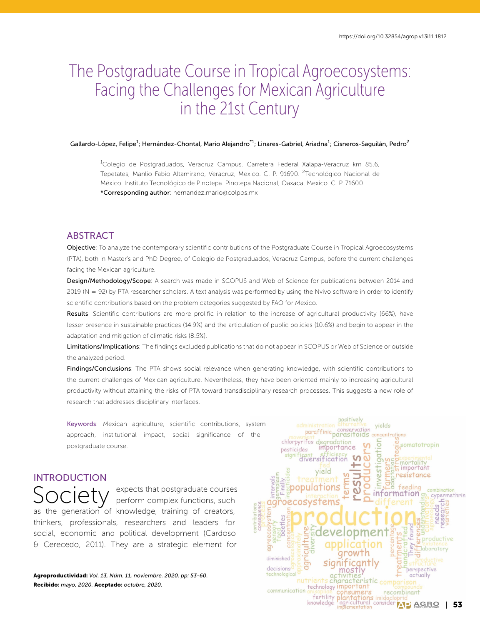# The Postgraduate Course in Tropical Agroecosystems: Facing the Challenges for Mexican Agriculture in the 21st Century

#### Gallardo-López, Felipe<sup>1</sup>; Hernández-Chontal, Mario Alejandro<sup>\*1</sup>; Linares-Gabriel, Ariadna<sup>1</sup>; Cisneros-Saguilán, Pedro<sup>2</sup>

<sup>1</sup>Colegio de Postgraduados, Veracruz Campus. Carretera Federal Xalapa-Veracruz km 85.6, Tepetates, Manlio Fabio Altamirano, Veracruz, Mexico. C. P. 91690. <sup>2</sup>Tecnológico Nacional de México. Instituto Tecnológico de Pinotepa. Pinotepa Nacional, Oaxaca, Mexico. C. P. 71600. \*Corresponding author: hernandez.mario@colpos.mx

# ABSTRACT

Objective: To analyze the contemporary scientific contributions of the Postgraduate Course in Tropical Agroecosystems (PTA), both in Master's and PhD Degree, of Colegio de Postgraduados, Veracruz Campus, before the current challenges facing the Mexican agriculture.

Design/Methodology/Scope: A search was made in SCOPUS and Web of Science for publications between 2014 and 2019 (N = 92) by PTA researcher scholars. A text analysis was performed by using the Nvivo software in order to identify scientific contributions based on the problem categories suggested by FAO for Mexico.

Results: Scientific contributions are more prolific in relation to the increase of agricultural productivity (66%), have lesser presence in sustainable practices (14.9%) and the articulation of public policies (10.6%) and begin to appear in the adaptation and mitigation of climatic risks (8.5%).

Limitations/Implications: The findings excluded publications that do not appear in SCOPUS or Web of Science or outside the analyzed period.

Findings/Conclusions: The PTA shows social relevance when generating knowledge, with scientific contributions to the current challenges of Mexican agriculture. Nevertheless, they have been oriented mainly to increasing agricultural productivity without attaining the risks of PTA toward transdisciplinary research processes. This suggests a new role of research that addresses disciplinary interfaces.

Keywords: Mexican agriculture, scientific contributions, system approach, institutional impact, social significance of the postgraduate course.

# INTRODUCTION

Society expects that postgraduate courses<br>
Society perform complex functions, such as the generation of knowledge, training of creators, thinkers, professionals, researchers and leaders for social, economic and political development (Cardoso & Cerecedo, 2011). They are a strategic element for

Agroproductividad: *Vol. 13, Núm. 11, noviembre. 2020. pp: 53-60.* Recibido: *mayo, 2020.* Aceptado: *octubre, 2020.*

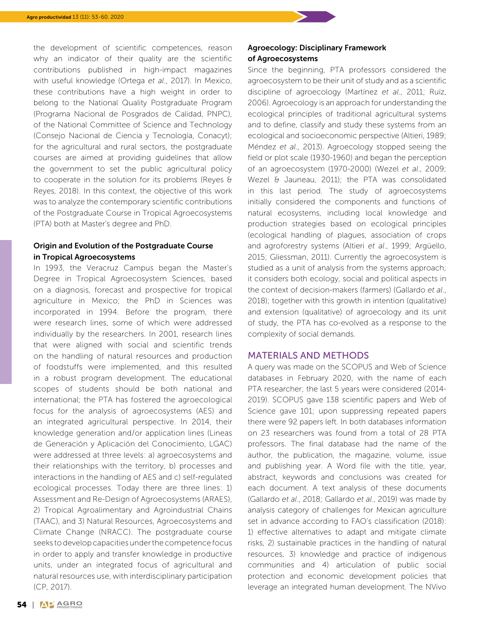the development of scientific competences, reason why an indicator of their quality are the scientific contributions published in high-impact magazines with useful knowledge (Ortega *et al*., 2017). In Mexico, these contributions have a high weight in order to belong to the National Quality Postgraduate Program (Programa Nacional de Posgrados de Calidad, PNPC), of the National Committee of Science and Technology (Consejo Nacional de Ciencia y Tecnología, Conacyt); for the agricultural and rural sectors, the postgraduate courses are aimed at providing guidelines that allow the government to set the public agricultural policy to cooperate in the solution for its problems (Reyes & Reyes, 2018). In this context, the objective of this work was to analyze the contemporary scientific contributions of the Postgraduate Course in Tropical Agroecosystems (PTA) both at Master's degree and PhD.

### Origin and Evolution of the Postgraduate Course in Tropical Agroecosystems

In 1993, the Veracruz Campus began the Master's Degree in Tropical Agroecosystem Sciences, based on a diagnosis, forecast and prospective for tropical agriculture in Mexico; the PhD in Sciences was incorporated in 1994. Before the program, there were research lines, some of which were addressed individually by the researchers. In 2001, research lines that were aligned with social and scientific trends on the handling of natural resources and production of foodstuffs were implemented, and this resulted in a robust program development. The educational scopes of students should be both national and international; the PTA has fostered the agroecological focus for the analysis of agroecosystems (AES) and an integrated agricultural perspective. In 2014, their knowledge generation and/or application lines (Lineas de Generación y Aplicación del Conocimiento, LGAC) were addressed at three levels: a) agroecosystems and their relationships with the territory, b) processes and interactions in the handling of AES and c) self-regulated ecological processes. Today there are three lines: 1) Assessment and Re-Design of Agroecosystems (ARAES), 2) Tropical Agroalimentary and Agroindustrial Chains (TAAC), and 3) Natural Resources, Agroecosystems and Climate Change (NRACC). The postgraduate course seeks to develop capacities under the competence focus in order to apply and transfer knowledge in productive units, under an integrated focus of agricultural and natural resources use, with interdisciplinary participation (CP, 2017).

## Agroecology: Disciplinary Framework of Agroecosystems

Since the beginning, PTA professors considered the agroecosystem to be their unit of study and as a scientific discipline of agroecology (Martínez *et al*., 2011; Ruíz, 2006). Agroecology is an approach for understanding the ecological principles of traditional agricultural systems and to define, classify and study these systems from an ecological and socioeconomic perspective (Altieri, 1989; Méndez *et al*., 2013). Agroecology stopped seeing the field or plot scale (1930-1960) and began the perception of an agroecosystem (1970-2000) (Wezel *et al*., 2009; Wezel & Jauneau, 2011); the PTA was consolidated in this last period. The study of agroecosystems initially considered the components and functions of natural ecosystems, including local knowledge and production strategies based on ecological principles (ecological handling of plagues, association of crops and agroforestry systems (Altieri *et al*., 1999; Argüello, 2015; Gliessman, 2011). Currently the agroecosystem is studied as a unit of analysis from the systems approach; it considers both ecology, social and political aspects in the context of decision-makers (farmers) (Gallardo *et al*., 2018); together with this growth in intention (qualitative) and extension (qualitative) of agroecology and its unit of study, the PTA has co-evolved as a response to the complexity of social demands.

#### MATERIALS AND METHODS

A query was made on the SCOPUS and Web of Science databases in February 2020, with the name of each PTA researcher; the last 5 years were considered (2014- 2019). SCOPUS gave 138 scientific papers and Web of Science gave 101; upon suppressing repeated papers there were 92 papers left. In both databases information on 23 researchers was found from a total of 28 PTA professors. The final database had the name of the author, the publication, the magazine, volume, issue and publishing year. A Word file with the title, year, abstract, keywords and conclusions was created for each document. A text analysis of these documents (Gallardo *et al*., 2018; Gallardo *et al*., 2019) was made by analysis category of challenges for Mexican agriculture set in advance according to FAO's classification (2018): 1) effective alternatives to adapt and mitigate climate risks, 2) sustainable practices in the handling of natural resources, 3) knowledge and practice of indigenous communities and 4) articulation of public social protection and economic development policies that leverage an integrated human development. The NVivo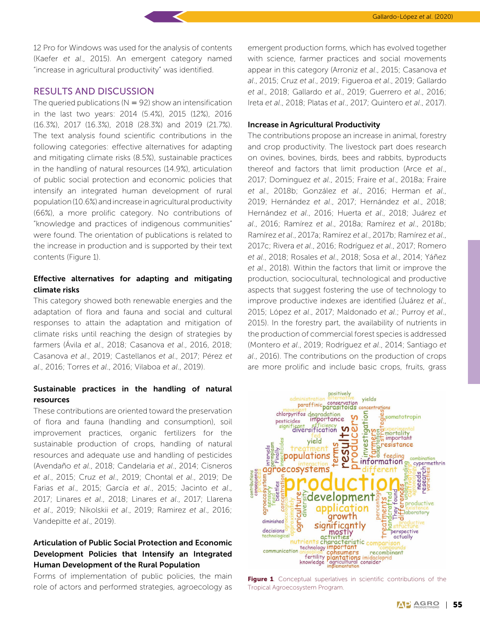12 Pro for Windows was used for the analysis of contents (Kaefer *et al*., 2015). An emergent category named "increase in agricultural productivity" was identified.

#### RESULTS AND DISCUSSION

The queried publications ( $N = 92$ ) show an intensification in the last two years: 2014 (5.4%), 2015 (12%), 2016 (16.3%), 2017 (16.3%), 2018 (28.3%) and 2019 (21.7%). The text analysis found scientific contributions in the following categories: effective alternatives for adapting and mitigating climate risks (8.5%), sustainable practices in the handling of natural resources (14.9%), articulation of public social protection and economic policies that intensify an integrated human development of rural population (10.6%) and increase in agricultural productivity (66%), a more prolific category. No contributions of "knowledge and practices of indigenous communities" were found. The orientation of publications is related to the increase in production and is supported by their text contents (Figure 1).

# Effective alternatives for adapting and mitigating climate risks

This category showed both renewable energies and the adaptation of flora and fauna and social and cultural responses to attain the adaptation and mitigation of climate risks until reaching the design of strategies by farmers (Ávila *et al*., 2018; Casanova *et al*., 2016, 2018; Casanova *et al*., 2019; Castellanos *et al*., 2017; Pérez *et al*., 2016; Torres *et al*., 2016; Vilaboa *et al*., 2019).

#### Sustainable practices in the handling of natural resources

These contributions are oriented toward the preservation of flora and fauna (handling and consumption), soil improvement practices, organic fertilizers for the sustainable production of crops, handling of natural resources and adequate use and handling of pesticides (Avendaño *et al*., 2018; Candelaria *et al*., 2014; Cisneros *et al*., 2015; Cruz *et al*., 2019; Chontal *et al*., 2019; De Farias *et al*., 2015; García *et al*., 2015; Jacinto *et al*., 2017; Linares *et al*., 2018; Linares *et al*., 2017; Llarena *et al*., 2019; Nikolskii *et al*., 2019; Ramirez *et al*., 2016; Vandepitte *et al*., 2019).

# Articulation of Public Social Protection and Economic Development Policies that Intensify an Integrated Human Development of the Rural Population

Forms of implementation of public policies, the main role of actors and performed strategies, agroecology as

emergent production forms, which has evolved together with science, farmer practices and social movements appear in this category (Arroniz *et al*., 2015; Casanova *et al*., 2015; Cruz *et al*., 2019; Figueroa *et al*., 2019; Gallardo *et al*., 2018; Gallardo *et al*., 2019; Guerrero *et al*., 2016; Ireta *et al*., 2018; Platas *et al*., 2017; Quintero *et al*., 2017).

#### Increase in Agricultural Productivity

The contributions propose an increase in animal, forestry and crop productivity. The livestock part does research on ovines, bovines, birds, bees and rabbits, byproducts thereof and factors that limit production (Arce *et al*., 2017; Dominguez *et al*., 2015; Fraire *et al*., 2018a; Fraire *et al*., 2018b; González *et al*., 2016; Herman *et al*., 2019; Hernández *et al*., 2017; Hernández *et al*., 2018; Hernández *et al*., 2016; Huerta *et al*., 2018; Juárez *et al*., 2016; Ramírez *et al*., 2018a; Ramírez *et al*., 2018b; Ramírez *et al*., 2017a; Ramírez *et al*., 2017b; Ramírez *et al*., 2017c; Rivera *et al*., 2016; Rodríguez *et al*., 2017; Romero *et al*., 2018; Rosales *et al*., 2018; Sosa *et al*., 2014; Yáñez *et al*., 2018). Within the factors that limit or improve the production, sociocultural, technological and productive aspects that suggest fostering the use of technology to improve productive indexes are identified (Juárez *et al*., 2015; López *et al*., 2017; Maldonado *et al*.; Purroy *et al*., 2015). In the forestry part, the availability of nutrients in the production of commercial forest species is addressed (Montero *et al*., 2019; Rodríguez *et al*., 2014; Santiago *et al*., 2016). The contributions on the production of crops are more prolific and include basic crops, fruits, grass



Figure 1. Conceptual superlatives in scientific contributions of the Tropical Agroecosystem Program.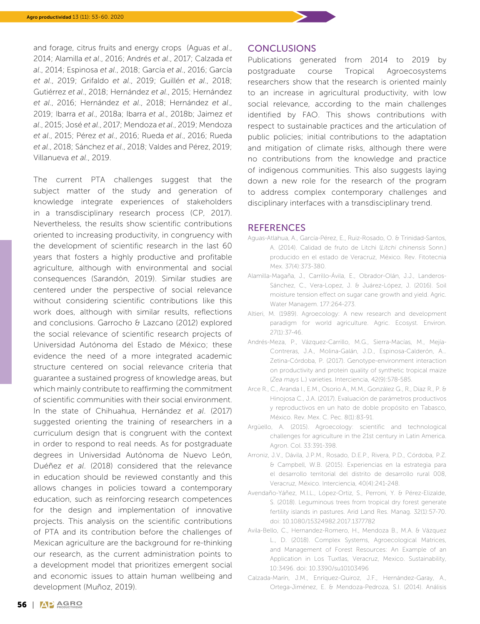and forage, citrus fruits and energy crops (Aguas *et al*., 2014; Alamilla *et al*., 2016; Andrés *et al*., 2017; Calzada *et al*., 2014; Espinosa *et al*., 2018; García *et al*., 2016; García *et al*., 2019; Grifaldo *et al*., 2019; Guillén *et al*., 2018; Gutiérrez *et al*., 2018; Hernández *et al*., 2015; Hernández *et al*., 2016; Hernández *et al*., 2018; Hernández *et al*., 2019; Ibarra *et al*., 2018a; Ibarra *et al*., 2018b; Jaimez *et al*., 2015; José *et al*., 2017; Mendoza *et al*., 2019; Mendoza *et al*., 2015; Pérez *et al*., 2016; Rueda *et al*., 2016; Rueda *et al*., 2018; Sánchez *et al*., 2018; Valdes and Pérez, 2019; Villanueva *et al*., 2019.

The current PTA challenges suggest that the subject matter of the study and generation of knowledge integrate experiences of stakeholders in a transdisciplinary research process (CP, 2017). Nevertheless, the results show scientific contributions oriented to increasing productivity, in congruency with the development of scientific research in the last 60 years that fosters a highly productive and profitable agriculture, although with environmental and social consequences (Sarandón, 2019). Similar studies are centered under the perspective of social relevance without considering scientific contributions like this work does, although with similar results, reflections and conclusions. Garrocho & Lazcano (2012) explored the social relevance of scientific research projects of Universidad Autónoma del Estado de México; these evidence the need of a more integrated academic structure centered on social relevance criteria that guarantee a sustained progress of knowledge areas, but which mainly contribute to reaffirming the commitment of scientific communities with their social environment. In the state of Chihuahua, Hernández *et al*. (2017) suggested orienting the training of researchers in a curriculum design that is congruent with the context in order to respond to real needs. As for postgraduate degrees in Universidad Autónoma de Nuevo León, Duéñez *et al*. (2018) considered that the relevance in education should be reviewed constantly and this allows changes in policies toward a contemporary education, such as reinforcing research competences for the design and implementation of innovative projects. This analysis on the scientific contributions of PTA and its contribution before the challenges of Mexican agriculture are the background for re-thinking our research, as the current administration points to a development model that prioritizes emergent social and economic issues to attain human wellbeing and development (Muñoz, 2019).

#### **CONCLUSIONS**

Publications generated from 2014 to 2019 by postgraduate course Tropical Agroecosystems researchers show that the research is oriented mainly to an increase in agricultural productivity, with low social relevance, according to the main challenges identified by FAO. This shows contributions with respect to sustainable practices and the articulation of public policies; initial contributions to the adaptation and mitigation of climate risks, although there were no contributions from the knowledge and practice of indigenous communities. This also suggests laying down a new role for the research of the program to address complex contemporary challenges and disciplinary interfaces with a transdisciplinary trend.

#### **REFERENCES**

- Aguas-Atlahua, A., García-Pérez, E., Ruiz-Rosado, O. & Trinidad-Santos, A. (2014). Calidad de fruto de Litchi (*Litchi chinensis* Sonn.) producido en el estado de Veracruz, México. Rev. Fitotecnia Mex. 37(4):373-380.
- Alamilla-Magaña, J., Carrillo-Ávila, E., Obrador-Olán, J.J., Landeros-Sánchez, C., Vera-Lopez, J. & Juárez-López, J. (2016). Soil moisture tension effect on sugar cane growth and yield. Agric. Water Managem. 177:264-273.
- Altieri, M. (1989). Agroecology: A new research and development paradigm for world agriculture. Agric. Ecosyst. Environ. 27(1):37-46.
- Andrés-Meza, P., Vázquez-Carrillo, M.G., Sierra-Macías, M., Mejía-Contreras, J.A., Molina-Galán, J.D., Espinosa-Calderón, A… Zetina-Córdoba, P. (2017). Genotype-environment interaction on productivity and protein quality of synthetic tropical maize (*Zea mays* L.) varieties. Interciencia, 42(9):578-585.
- Arce R., C., Aranda I., E.M., Osorio A., M.M., González G., R., Díaz R., P. & Hinojosa C., J.A. (2017). Evaluación de parámetros productivos y reproductivos en un hato de doble propósito en Tabasco, México. Rev. Mex. C. Pec. 8(1):83-91.
- Argüello, A. (2015). Agroecology: scientific and technological challenges for agriculture in the 21st century in Latin America. Agron. Col. 33:391-398.
- Arroniz, J.V., Dávila, J.P.M., Rosado, D.E.P., Rivera, P.D., Córdoba, P.Z. & Campbell, W.B. (2015). Experiencias en la estrategia para el desarrollo territorial del distrito de desarrollo rural 008, Veracruz, México. Interciencia, 40(4):241-248.
- Avendaño-Yáñez, M.l.L., López-Ortiz, S., Perroni, Y. & Pérez-Elizalde, S. (2018). Leguminous trees from tropical dry forest generate fertility islands in pastures. Arid Land Res. Manag. 32(1):57-70. doi: 10.1080/15324982.2017.1377782
- Avila-Bello, C., Hernandez-Romero, H., Mendoza B., M.A. & Vázquez L., D. (2018). Complex Systems, Agroecological Matrices, and Management of Forest Resources: An Example of an Application in Los Tuxtlas, Veracruz, Mexico. Sustainability, 10:3496. doi: 10.3390/su10103496
- Calzada-Marín, J.M., Enríquez-Quiroz, J.F., Hernández-Garay, A., Ortega-Jiménez, E. & Mendoza-Pedroza, S.I. (2014). Análisis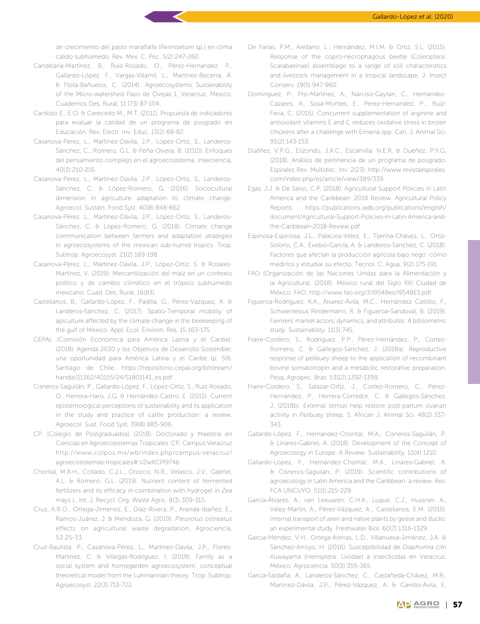de crecimiento del pasto maralfalfa (*Pennisetum* sp.) en clima cálido subhúmedo. Rev. Mex. C. Pec. 5(2):247-260.

- Candelaria-Martínez, B., Ruiz-Rosado, O., Pérez-Hernández, P., Gallardo-López, F., Vargas-Villamil, L., Martínez-Becerra, Á. & Flota-Bañuelos, C. (2014). Agroecosystems Sustainability of the Micro-watershed Paso de Ovejas 1, Veracruz, Mexico. Cuadernos Des. Rural, 11 (73):87-104.
- Cardoso E., E.O. & Cerecedo M., M.T. (2011). Propuesta de indicadores para evaluar la calidad de un programa de posgrado en Educación. Rev. Electr. Inv. Educ. 13(2):68-82.
- Casanova-Pérez, L., Martínez-Dávila, J.P., López-Ortiz, S., Landeros-Sánchez, C., Romero, G.L. & Peña-Olvera, B. (2015). Enfoques del pensamiento complejo en el agroecosistema. Interciencia, 40(3):210-216.
- Casanova-Pérez, L., Martínez-Dávila, J.P., López-Ortiz, S., Landeros-Sánchez, C. & López-Romero, G. (2016). Sociocultural dimension in agriculture adaptation to climate change. Agroecol. Sustain. Food Syst. 40(8):848-862.
- Casanova-Pérez, L., Martínez-Dávila, J.P., López-Ortiz, S., Landeros-Sánchez, C. & López-Romero, G. (2018). Climate change communication between farmers and adaptation strategies in agroecosystems of the mexican sub-humid tropics. Trop. Subtrop. Agroecosyst. 21(2):189-198.
- Casanova-Pérez, L., Martínez-Dávila, J.P., López-Ortiz, S. & Rosales-Martínez, V. (2019). Mercantilización del maíz en un contexto político y de cambio climático en el trópico subhúmedo mexicano. Cuad. Des. Rural, 16(83).
- Castellanos, B., Gallardo-López, F., Padilla, G., Pérez-Vazquez, A. & Landeros-Sánchez, C. (2017). Spatio-Temporal mobility of apiculture affected by the climate change in the beekeeping of the gulf of Mexico. Appl. Ecol. Environ. Res. 15:163-175.
- CEPAL (Comisión Económica para América Latina y el Caribe). (2018). Agenda 2030 y los Objetivos de Desarrollo Sostenible: una oportunidad para América Latina y el Caribe (p. 59). Santiago de Chile. https://repositorio.cepal.org/bitstream/ handle/11362/40155/24/S1801141\_es.pdf
- Cisneros-Saguilán, P., Gallardo-López, F., López-Ortíz, S., Ruiz Rosado, O., Herrera-Haro, J.G. & Hernández-Castro, E. (2015). Current epistemological perceptions of sustainability and its application in the study and practice of cattle production: a review. Agroecol. Sust. Food Syst. 39(8):885-906.
- CP. (Colegio de Postgraduados) (2018). Doctorado y Maestría en Ciencias en Agroecosistemas Tropicales. CP, Campus Veracruz http://www.colpos.mx/wb/index.php/campus-veracruz/ agroecosistemas-tropicales#.V2wKCPl974b
- Chontal, M.A.H., Collado, C.J.L., Orozco, N.R., Velasco, J.V., Gabriel, A.L. & Romero, G.L. (2019). Nutrient content of fermented fertilizers and its efficacy in combination with hydrogel in *Zea mays* L. Int. J. Recycl. Org. Waste Agric. 8(3):309-315.
- Cruz, A.R.O., Ortega-Jimenez, E., Díaz-Rivera, P., Aranda-Ibáñez, E., Ramos-Juárez, J. & Mendoza, G. (2019). *Pleurotus ostreatus*  effects on agricultural waste degradation. Agrociencia, 53:25-33.
- Cruz-Bautista, P., Casanova-Pérez, L., Martinez-Davila, J.P., Flores-Martinez, C. & Villegas-Rodriguez, I. (2019). Family as a social system and homegarden agroecosystem: conceptual theoretical model from the Luhmannian theory. Trop. Subtrop. Agroecosyst. 22(3):713-722.
- De Farias, P.M., Arellano, L., Hernández, M.I.M. & Ortiz, S.L. (2015). Response of the copro-necrophagous beetle (Coleoptera: Scarabaeinae) assemblage to a range of soil characteristics and livestock management in a tropical landscape. J. Insect Conserv. 19(5):947-960.
- Dominguez, P., Pro-Martinez, A., Narciso-Gaytan, C., Hernandez-Cazares, A., Sosa-Montes, E., Perez-Hernandez, P… Ruiz-Feria, C. (2015). Concurrent supplementation of arginine and antioxidant vitamins E and C reduces oxidative stress in broiler chickens after a challenge with Eimeria spp. Can. J. Animal Sci. 95(2):143-153.
- Duéñez, V.P.G., Elizondo, J.A.C., Escamilla, N.E.R. & Duéñez, P.Y.G. (2018). Análisis de pertinencia de un programa de posgrado. Espirales Rev. Multidisc. Inv. 2(23). http://www.revistaespirales. com/index.php/es/article/view/389/339.
- Egas, J.J. & De Salvo, C.P. (2018). Agricultural Support Policies in Latin America and the Caribbean: 2018 Review. Agricultural Policy Reports. https://publications.iadb.org/publications/english/ document/Agricultural-Support-Policies-in-Latin-America-andthe-Caribbean-2018-Review.pdf
- Espinosa-Espinosa, J.L., Palacios-Vélez, E., Tijerina-Chávez, L., Ortiz-Solorio, C.A., Exebio-García, A. & Landeros-Sánchez, C. (2018). Factores que afectan la producción agrícola bajo riego: cómo medirlos y estudiar su efecto. Tecnol. C. Agua, 9(2):175-191.
- FAO (Organización de las Naciones Unidas para la Alimentación y la Agricultura). (2018). México rural del Siglo XXI Ciudad de México. FAO. http://www.fao.org/3/i9548es/I9548ES.pdf.
- Figueroa-Rodríguez, K.A., Álvarez-Ávila, M.C., Hernández Castillo, F., Schwentesius Rindermann, R. & Figueroa-Sandoval, B. (2019). Farmers' market actors, dynamics, and attributes: A bibliometric study. Sustainability, 11(3):745.
- Fraire-Cordero, S., Rodríguez, P.P., Pérez-Hernández, P., Cortez-Romero, C. & Gallegos-Sánchez, J. (2018a). Reproductive response of pelibuey sheep to the application of recombinant bovine somatotropin and a metabolic restorative preparation. Pesq. Agropec. Bras. 53(12):1392-1398.
- Fraire-Cordero, S., Salazar-Ortiz, J., Cortez-Romero, C., Pérez-Hernández, P., Herrera-Corredor, C. & Gallegos-Sánchez, J. (2018b). External stimuli help restore post-partum ovarian activity in Pelibuey sheep. S. African J. Animal Sci. 48(2):337- 343.
- Gallardo-López, F., Hernández-Chontal, M.A., Cisneros-Saguilán, P. & Linares-Gabriel, A. (2018). Development of the Concept of Agroecology in Europe: A Review. Sustainability, 10(4):1210.
- Gallardo-López, F., Hernández-Chontal, M.A., Linares-Gabriel, A. & Cisneros-Saguilán, P. (2019). Scientific contributions of agroecology in Latin America and the Caribbean: a review. Rev. FCA UNCUYO. 51(1):215-229.
- García-Álvarez, A., van Leeuwen, C.H.A., Luque, C.J., Hussner, A., Vélez-Martín, A., Pérez-Vázquez, A… Castellanos, E.M. (2015). Internal transport of alien and native plants by geese and ducks: an experimental study. Freshwater Biol. 60(7):1316-1329.
- García-Méndez, V.H., Ortega-Arenas, L.D., Villanueva-Jiménez, J.A. & Sánchez-Arroyo, H. (2016). Susceptibilidad de *Diaphorina citri*  Kuwayama (Hemiptera: Liviidae) a insecticidas en Veracruz, México. Agrociencia, 50(3):355-365.
- García-Saldaña, A., Landeros-Sánchez, C., Castañeda-Chávez, M.R., Martínez-Dávila, J.P., Pérez-Vázquez, A. & Carrillo-Ávila, E.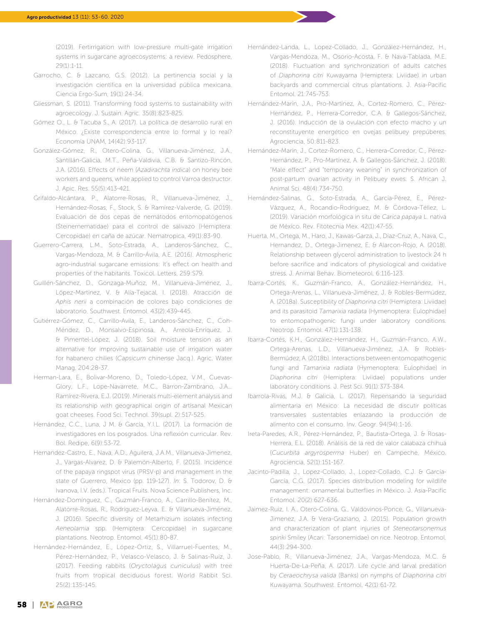(2019). Fertirrigation with low-pressure multi-gate irrigation systems in sugarcane agroecosystems: a review. Pedosphere, 29(1):1-11.

- Garrocho, C. & Lazcano, G.S. (2012). La pertinencia social y la investigación científica en la universidad pública mexicana. Ciencia Ergo-Sum, 19(1):24-34.
- Gliessman, S. (2011). Transforming food systems to sustainability with agroecology. J. Sustain. Agric. 35(8):823-825.
- Gómez O., L. & Tacuba S., A. (2017). La política de desarrollo rural en México. ¿Existe correspondencia entre lo formal y lo real? Economía UNAM, 14(42):93-117.
- González-Gómez, R., Otero-Colina, G., Villanueva-Jiménez, J.A., Santillán-Galicia, M.T., Peña-Valdivia, C.B. & Santizo-Rincón, J.A. (2016). Effects of neem (*Azadirachta indica*) on honey bee workers and queens, while applied to control Varroa destructor. J. Apic. Res. 55(5):413-421.
- Grifaldo-Alcántara, P., Alatorre-Rosas, R., Villanueva-Jiménez, J., Hernández-Rosas, F., Stock, S. & Ramírez-Valverde, G. (2019). Evaluación de dos cepas de nemátodos entomopatógenos (Steinernematidae) para el control de salivazo (Hemiptera: Cercopidae) en caña de azúcar. Nematropica, 49(1):83-90.
- Guerrero-Carrera, L.M., Soto-Estrada, A., Landeros-Sánchez, C., Vargas-Mendoza, M. & Carrillo-Ávila, A.E. (2016). Atmospheric agro-industrial sugarcane emissions: It's effect on health and properties of the habitants. Toxicol. Letters, 259:S79.
- Guillén-Sánchez, D., Gonzaga-Muñoz, M., Villanueva-Jiménez, J., López-Martínez, V. & Alía-Tejacal, I. (2018). Atracción de *Aphis nerii* a combinación de colores bajo condiciones de laboratorio. Southwest. Entomol. 43(2):439-445.
- Gutiérrez-Gómez, C., Carrillo-Avila, E., Landeros-Sánchez, C., Coh-Méndez, D., Monsalvo-Espinosa, A., Arreola-Enríquez, J. & Pimentel-López, J. (2018). Soil moisture tension as an alternative for improving sustainable use of irrigation water for habanero chilies (*Capsicum chinense* Jacq.). Agric. Water Manag. 204:28-37.
- Herman-Lara, E., Bolivar-Moreno, D., Toledo-López, V.M., Cuevas-Glory, L.F., Lope-Navarrete, M.C., Barron-Zambrano, J.A… Ramírez-Rivera, E.J. (2019). Minerals multi-element analysis and its relationship with geographical origin of artisanal Mexican goat cheeses. Food Sci. Technol. 39(supl. 2):517-525.
- Hernández, C.C., Luna, J M. & García, Y.I.L. (2017). La formación de investigadores en los posgrados. Una reflexión curricular. Rev. Bol. Redipe, 6(9):53-72.
- Hernandez-Castro, E., Nava, A.D., Aguilera, J.A.M., Villanueva-Jimenez, J., Vargas-Alvarez, D. & Palemón-Alberto, F. (2015). Incidence of the papaya ringspot virus (PRSV-p) and management in the state of Guerrero, Mexico (pp. 119-127). *In*: S. Todorov, D. & Ivanova, I.V. (eds.). Tropical Fruits. Nova Science Publishers, Inc.
- Hernández-Domínguez, C., Guzmán-Franco, A., Carrillo-Benítez, M., Alatorre-Rosas, R., Rodríguez-Leyva, E. & Villanueva-Jiménez, J. (2016). Specific diversity of Metarhizium isolates infecting *Aeneolamia* spp. (Hemiptera: Cercopidae) in sugarcane plantations. Neotrop. Entomol. 45(1):80-87.
- Hernández-Hernández, E., López-Ortiz, S., Villarruel-Fuentes, M., Pérez-Hernández, P., Velasco-Velasco, J. & Salinas-Ruíz, J. (2017). Feeding rabbits (*Oryctolagus cuniculus*) with tree fruits from tropical deciduous forest. World Rabbit Sci. 25(2):135-145.
- Hernández-Landa, L., Lopez-Collado, J., González-Hernández, H., Vargas-Mendoza, M., Osorio-Acosta, F. & Nava-Tablada, M.E. (2018). Fluctuation and synchronization of adults catches of *Diaphorina citri* Kuwayama (Hemiptera: Liviidae) in urban backyards and commercial citrus plantations. J. Asia-Pacific Entomol. 21:745-753.
- Hernández-Marín, J.A., Pro-Martínez, A., Cortez-Romero, C., Pérez-Hernández, P., Herrera-Corredor, C.A. & Gallegos-Sánchez, J. (2016). Inducción de la ovulación con efecto macho y un reconstituyente energético en ovejas pelibuey prepúberes. Agrociencia, 50:811-823.
- Hernández-Marín, J., Cortez-Romero, C., Herrera-Corredor, C., Pérez-Hernández, P., Pro-Martínez, A. & Gallegos-Sánchez, J. (2018). "Male effect" and "temporary weaning" in synchronization of post-partum ovarian activity in Pelibuey ewes. S. African J. Animal Sci. 48(4):734-750.
- Hernández-Salinas, G., Soto-Estrada, A., García-Pérez, E., Pérez-Vázquez, A., Rocandio-Rodríguez, M. & Córdova-Téllez, L. (2019). Variación morfológica in situ de *Carica papaya* L. nativa de México. Rev. Fitotecnia Mex. 42(1):47-55.
- Huerta, M., Ortega, M., Haro, J., Kawas-Garza, J., Díaz-Cruz, A., Nava, C., Hernandez, D., Ortega-Jimenez, E. & Alarcon-Rojo, A. (2018). Relationship between glycerol administration to livestock 24 h before sacrifice and indicators of physiological and oxidative stress. J. Animal Behav. Biometeorol. 6:116-123.
- Ibarra-Cortés, K., Guzmán-Franco, A., González-Hernández, H., Ortega-Arenas, L., Villanueva-Jiménez, J. & Robles-Bermúdez, A. (2018a). Susceptibility of *Diaphorina citri* (Hemiptera: Liviidae) and its parasitoid *Tamarixia radiata* (Hymenoptera: Eulophidae) to entomopathogenic fungi under laboratory conditions. Neotrop. Entomol. 47(1):131-138.
- Ibarra-Cortés, K.H., González-Hernández, H., Guzmán-Franco, A.W., Ortega-Arenas, L.D., Villanueva-Jiménez, J.A. & Robles-Bermúdez, A. (2018b). Interactions between entomopathogenic fungi and *Tamarixia radiata* (Hymenoptera: Eulophidae) in *Diaphorina citri* (Hemiptera: Liviidae) populations under laboratory conditions. J. Pest Sci. 91(1):373-384.
- Ibarrola-Rivas, M.J. & Galicia, L. (2017). Repensando la seguridad alimentaria en México: La necesidad de discutir políticas transversales sustentables enlazando la producción de alimento con el consumo. Inv. Geogr. 94(94):1-16.
- Ireta-Paredes, A.R., Pérez-Hernández, P., Bautista-Ortega, J. & Rosas-Herrera, E.L. (2018). Análisis de la red de valor calabaza chihua (*Cucurbita argyrosperma* Huber) en Campeche, México. Agrociencia, 52(1):151-167.
- Jacinto-Padilla, J., Lopez-Collado, J., Lopez-Collado, C.J. & García-García, C.G. (2017). Species distribution modeling for wildlife management: ornamental butterflies in México. J. Asia-Pacific Entomol. 20(2):627-636.
- Jaimez-Ruiz, I. A., Otero-Colina, G., Valdovinos-Ponce, G., Villanueva-Jimenez, J.A. & Vera-Graziano, J. (2015). Population growth and characterization of plant injuries of *Steneotarsonemus spinki* Smiley (Acari: Tarsonemidae) on rice. Neotrop. Entomol. 44(3):294-300.
- Jose-Pablo, R., Villanueva-Jiménez, J.A., Vargas-Mendoza, M.C. & Huerta-De-La-Peña, A. (2017). Life cycle and larval predation by *Ceraeochrysa valida* (Banks) on nymphs of *Diaphorina citri*  Kuwayama. Southwest. Entomol. 42(1):61-72.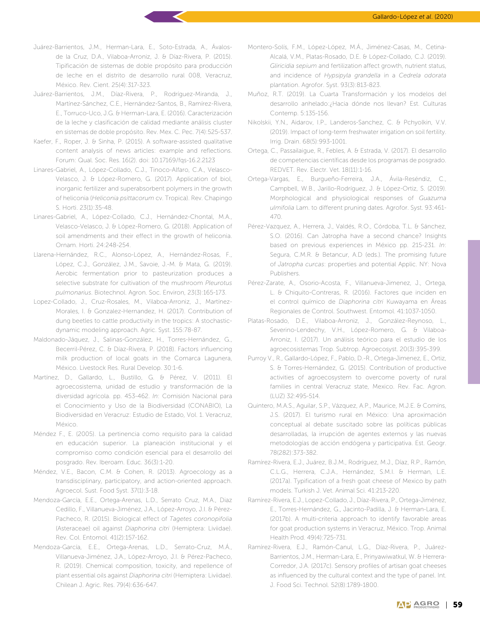- Juárez-Barrientos, J.M., Herman-Lara, E., Soto-Estrada, A., Ávalosde la Cruz, D.A., Vilaboa-Arroniz, J. & Díaz-Rivera, P. (2015). Tipificación de sistemas de doble propósito para producción de leche en el distrito de desarrollo rural 008, Veracruz, México. Rev. Cient. 25(4):317-323.
- Juárez-Barrientos, J.M., Díaz-Rivera, P., Rodríguez-Miranda, J., Martínez-Sánchez, C.E., Hernández-Santos, B., Ramírez-Rivera, E., Torruco-Uco, J.G. & Herman-Lara, E. (2016). Caracterización de la leche y clasificación de calidad mediante análisis cluster en sistemas de doble propósito. Rev. Mex. C. Pec. 7(4):525-537.
- Kaefer, F., Roper, J. & Sinha, P. (2015). A software-assisted qualitative content analysis of news articles: example and reflections. Forum: Qual. Soc. Res. 16(2). doi: 10.17169/fqs-16.2.2123
- Linares-Gabriel, A., López-Collado, C.J., Tinoco-Alfaro, C.A., Velasco-Velasco, J. & López-Romero, G. (2017). Application of biol, inorganic fertilizer and superabsorbent polymers in the growth of heliconia (*Heliconia psittacorum* cv. Tropica). Rev. Chapingo S. Horti. 23(1):35-48.
- Linares-Gabriel, A., López-Collado, C.J., Hernández-Chontal, M.A., Velasco-Velasco, J. & López-Romero, G. (2018). Application of soil amendments and their effect in the growth of heliconia. Ornam. Horti. 24:248-254.
- Llarena-Hernández, R.C., Alonso-López, A., Hernández-Rosas, F., López, C.J., González, J.M., Savoie, J.-M. & Mata, G. (2019). Aerobic fermentation prior to pasteurization produces a selective substrate for cultivation of the mushroom *Pleurotus pulmonarius*. Biotechnol. Agron. Soc. Environ, 23(3):165-173.
- Lopez-Collado, J., Cruz-Rosales, M., Vilaboa-Arroniz, J., Martínez-Morales, I. & Gonzalez-Hernandez, H. (2017). Contribution of dung beetles to cattle productivity in the tropics: A stochasticdynamic modeling approach. Agric. Syst. 155:78-87.
- Maldonado-Jáquez, J., Salinas-González, H., Torres-Hernández, G., Becerril-Pérez, C. & Díaz-Rivera, P. (2018). Factors influencing milk production of local goats in the Comarca Lagunera, México. Livestock Res. Rural Develop. 30:1-6.
- Martínez, D., Gallardo, L., Bustillo, G. & Pérez, V. (2011). El agroecosistema, unidad de estudio y transformación de la diversidad agrícola. pp. 453-462. *In*: Comisión Nacional para el Conocimiento y Uso de la Biodiversidad (CONABIO), La Biodiversidad en Veracruz: Estudio de Estado, Vol. 1. Veracruz, México.
- Méndez F., E. (2005). La pertinencia como requisito para la calidad en educación superior. La planeación institucional y el compromiso como condición esencial para el desarrollo del posgrado. Rev. Iberoam. Educ. 36(3):1-20.
- Méndez, V.E., Bacon, C.M. & Cohen, R. (2013). Agroecology as a transdisciplinary, participatory, and action-oriented approach. Agroecol. Sust. Food Syst. 37(1):3-18.
- Mendoza-García, E.E., Ortega-Arenas, L.D., Serrato Cruz, M.A., Diaz Cedillo, F., Villanueva-Jiménez, J.A., López-Arroyo, J.I. & Pérez-Pacheco, R. (2015). Biological effect of *Tagetes coronopifolia*  (Asteraceae) oil against *Diaphorina citri* (Hemiptera: Liviidae). Rev. Col. Entomol. 41(2):157-162.
- Mendoza-García, E.E., Ortega-Arenas, L.D., Serrato-Cruz, M.Á., Villanueva-Jiménez, J.A., López-Arroyo, J.I. & Pérez-Pacheco, R. (2019). Chemical composition, toxicity, and repellence of plant essential oils against *Diaphorina citri* (Hemiptera: Liviidae). Chilean J. Agric. Res. 79(4):636-647.
- Montero-Solís, F.M., López-López, M.Á., Jiménez-Casas, M., Cetina-Alcalá, V.M., Platas-Rosado, D.E. & López-Collado, C.J. (2019). *Gliricidia sepium* and fertilization affect growth, nutrient status, and incidence of *Hypsipyla grandella* in a *Cedrela odorata*  plantation. Agrofor. Syst. 93(3):813-823.
- Muñoz, R.T. (2019). La Cuarta Transformación y los modelos del desarrollo anhelado:¿Hacia dónde nos llevan? Est. Culturas Contemp. 5:135-156.
- Nikolskii, Y.N., Aidarov, I.P., Landeros-Sanchez, C. & Pchyolkin, V.V. (2019). Impact of long-term freshwater irrigation on soil fertility. Irrig. Drain. 68(5):993-1001.
- Ortega, C., Passailaigue, R., Febles, A. & Estrada, V. (2017). El desarrollo de competencias científicas desde los programas de posgrado. REDVET. Rev. Electr. Vet. 18(11):1-16.
- Ortega-Vargas, E., Burgueño-Ferreira, J.A., Ávila-Reséndiz, C., Campbell, W.B., Jarillo-Rodríguez, J. & López-Ortiz, S. (2019). Morphological and physiological responses of *Guazuma ulmifolia* Lam. to different pruning dates. Agrofor. Syst. 93:461- 470.
- Pérez-Vazquez, A., Herrera, J., Valdés, R.O., Córdoba, T.L. & Sánchez, S.O. (2016). Can Jatropha have a second chance? Insights based on previous experiences in México pp. 215-231. *In*: Segura, C.M.R. & Betancur, A.D (eds.). The promising future of *Jatropha curcas*: properties and potential Applic. NY: Nova Publishers.
- Pérez-Zarate, A., Osorio-Acosta, F., Villanueva-Jimenez, J., Ortega, L. & Chiquito-Contreras, R. (2016). Factores que inciden en el control químico de *Diaphorina citri* Kuwayama en Áreas Regionales de Control. Southwest. Entomol. 41:1037-1050.
- Platas-Rosado, D.E., Vilaboa-Arroniz, J., González-Reynoso, L., Severino-Lendechy, V.H., López-Romero, G. & Vilaboa-Arroniz, I. (2017). Un análisis teórico para el estudio de los agroecosistemas Trop. Subtrop. Agroecosyst. 20(3):395-399.
- Purroy V., R., Gallardo-López, F., Pablo, D.-R., Ortega-Jimenez, E., Ortiz, S. & Torres-Hernández, G. (2015). Contribution of productive activities of agroecosystem to overcome poverty of rural families in central Veracruz state, Mexico. Rev. Fac. Agron. (LUZ) 32:495-514.
- Quintero, M.A.S., Aguilar, S.P., Vázquez, A.P., Maurice, M.J.E. & Comíns, J.S. (2017). El turismo rural en México: Una aproximación conceptual al debate suscitado sobre las políticas públicas desarrolladas, la irrupción de agentes externos y las nuevas metodologías de acción endógena y participativa. Est. Geogr. 78(282):373-382.
- Ramírez-Rivera, E.J., Juárez, B.J.M., Rodríguez, M.J., Díaz, R.P., Ramón, C.L.G., Herrera, C.J.A., Hernández, S.M.I. & Herman, L.E. (2017a). Typification of a fresh goat cheese of Mexico by path models. Turkish J. Vet. Animal Sci. 41:213-220.
- Ramírez-Rivera, E.J., Lopez-Collado, J., Díaz-Rivera, P., Ortega-Jiménez, E., Torres-Hernández, G., Jacinto-Padilla, J. & Herman-Lara, E. (2017b). A multi-criteria approach to identify favorable areas for goat production systems in Veracruz, México. Trop. Animal Health Prod. 49(4):725-731.
- Ramírez-Rivera, E.J., Ramón-Canul, L.G., Díaz-Rivera, P., Juárez-Barrientos, J.M., Herman-Lara, E., Prinyawiwatkul, W. & Herrera-Corredor, J.A. (2017c). Sensory profiles of artisan goat cheeses as influenced by the cultural context and the type of panel. Int. J. Food Sci. Technol. 52(8):1789-1800.